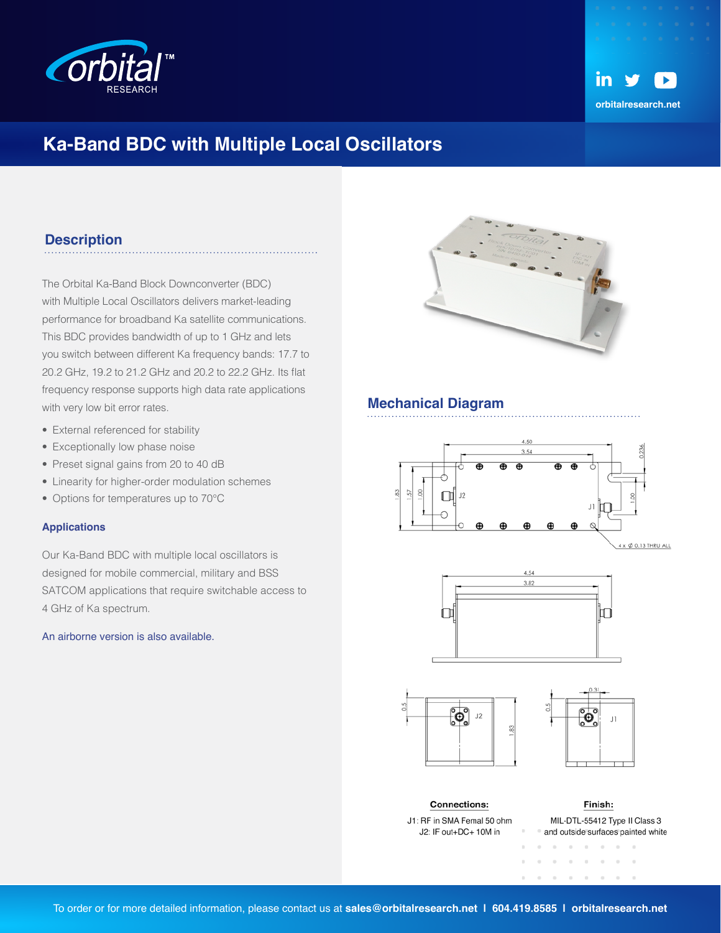



## **Ka-Band BDC with Multiple Local Oscillators**

### **Description**

The Orbital Ka-Band Block Downconverter (BDC) with Multiple Local Oscillators delivers market-leading performance for broadband Ka satellite communications. This BDC provides bandwidth of up to 1 GHz and lets you switch between different Ka frequency bands: 17.7 to 20.2 GHz, 19.2 to 21.2 GHz and 20.2 to 22.2 GHz. Its flat frequency response supports high data rate applications with very low bit error rates.

- External referenced for stability
- Exceptionally low phase noise
- Preset signal gains from 20 to 40 dB
- Linearity for higher-order modulation schemes
- Options for temperatures up to 70°C

#### **Applications**

Our Ka-Band BDC with multiple local oscillators is designed for mobile commercial, military and BSS SATCOM applications that require switchable access to 4 GHz of Ka spectrum.

An airborne version is also available.



#### **Mechanical Diagram**



 $4 \times \phi$  0.13 THRU ALL







**Connections:** J1: RF in SMA Femal 50 ohm J2: IF out+DC+ 10M in

MIL-DTL-55412 Type II Class 3 and outside surfaces painted white  $\sim$ 

 $\sim$ 

 $10 - 10 - 10$ 

Finish:

 $\sim$ 

 $\sim$  $\sim$  $\sim$  $\sim$ 

 $\alpha = -\alpha$  .

 $\alpha$ 

 $\alpha$